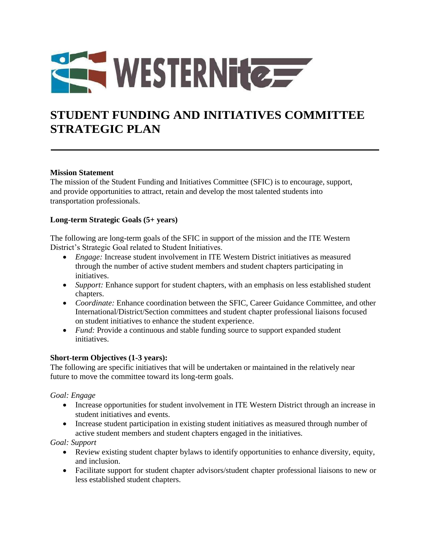

# **STUDENT FUNDING AND INITIATIVES COMMITTEE STRATEGIC PLAN**

### **Mission Statement**

The mission of the Student Funding and Initiatives Committee (SFIC) is to encourage, support, and provide opportunities to attract, retain and develop the most talented students into transportation professionals.

#### **Long-term Strategic Goals (5+ years)**

The following are long-term goals of the SFIC in support of the mission and the ITE Western District's Strategic Goal related to Student Initiatives.

- *Engage:* Increase student involvement in ITE Western District initiatives as measured through the number of active student members and student chapters participating in initiatives.
- *Support:* Enhance support for student chapters, with an emphasis on less established student chapters.
- *Coordinate:* Enhance coordination between the SFIC, Career Guidance Committee, and other International/District/Section committees and student chapter professional liaisons focused on student initiatives to enhance the student experience.
- *Fund:* Provide a continuous and stable funding source to support expanded student initiatives.

### **Short-term Objectives (1-3 years):**

The following are specific initiatives that will be undertaken or maintained in the relatively near future to move the committee toward its long-term goals.

#### *Goal: Engage*

- Increase opportunities for student involvement in ITE Western District through an increase in student initiatives and events.
- Increase student participation in existing student initiatives as measured through number of active student members and student chapters engaged in the initiatives.

*Goal: Support*

- Review existing student chapter bylaws to identify opportunities to enhance diversity, equity, and inclusion.
- Facilitate support for student chapter advisors/student chapter professional liaisons to new or less established student chapters.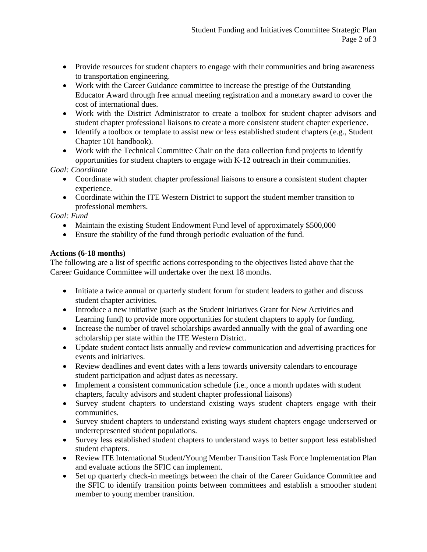- Provide resources for student chapters to engage with their communities and bring awareness to transportation engineering.
- Work with the Career Guidance committee to increase the prestige of the Outstanding Educator Award through free annual meeting registration and a monetary award to cover the cost of international dues.
- Work with the District Administrator to create a toolbox for student chapter advisors and student chapter professional liaisons to create a more consistent student chapter experience.
- Identify a toolbox or template to assist new or less established student chapters (e.g., Student Chapter 101 handbook).
- Work with the Technical Committee Chair on the data collection fund projects to identify opportunities for student chapters to engage with K-12 outreach in their communities.

*Goal: Coordinate*

- Coordinate with student chapter professional liaisons to ensure a consistent student chapter experience.
- Coordinate within the ITE Western District to support the student member transition to professional members.

*Goal: Fund*

- Maintain the existing Student Endowment Fund level of approximately \$500,000
- Ensure the stability of the fund through periodic evaluation of the fund.

## **Actions (6-18 months)**

The following are a list of specific actions corresponding to the objectives listed above that the Career Guidance Committee will undertake over the next 18 months.

- Initiate a twice annual or quarterly student forum for student leaders to gather and discuss student chapter activities.
- Introduce a new initiative (such as the Student Initiatives Grant for New Activities and Learning fund) to provide more opportunities for student chapters to apply for funding.
- Increase the number of travel scholarships awarded annually with the goal of awarding one scholarship per state within the ITE Western District.
- Update student contact lists annually and review communication and advertising practices for events and initiatives.
- Review deadlines and event dates with a lens towards university calendars to encourage student participation and adjust dates as necessary.
- Implement a consistent communication schedule (i.e., once a month updates with student chapters, faculty advisors and student chapter professional liaisons)
- Survey student chapters to understand existing ways student chapters engage with their communities.
- Survey student chapters to understand existing ways student chapters engage underserved or underrepresented student populations.
- Survey less established student chapters to understand ways to better support less established student chapters.
- Review ITE International Student/Young Member Transition Task Force Implementation Plan and evaluate actions the SFIC can implement.
- Set up quarterly check-in meetings between the chair of the Career Guidance Committee and the SFIC to identify transition points between committees and establish a smoother student member to young member transition.